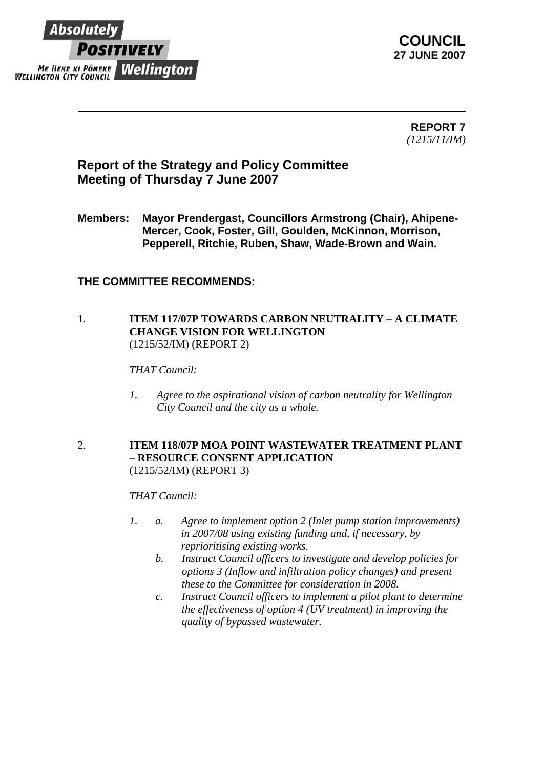

**COUNCIL 27 JUNE 2007** 

> **REPORT 7** *(1215/11/IM)*

# **Report of the Strategy and Policy Committee Meeting of Thursday 7 June 2007**

**Members: Mayor Prendergast, Councillors Armstrong (Chair), Ahipene-Mercer, Cook, Foster, Gill, Goulden, McKinnon, Morrison, Pepperell, Ritchie, Ruben, Shaw, Wade-Brown and Wain.** 

### **THE COMMITTEE RECOMMENDS:**

#### 1. **ITEM 117/07P TOWARDS CARBON NEUTRALITY – A CLIMATE CHANGE VISION FOR WELLINGTON**  (1215/52/IM) (REPORT 2)

#### *THAT Council:*

*1. Agree to the aspirational vision of carbon neutrality for Wellington City Council and the city as a whole.* 

#### 2. **ITEM 118/07P MOA POINT WASTEWATER TREATMENT PLANT – RESOURCE CONSENT APPLICATION** (1215/52/IM) (REPORT 3)

#### *THAT Council:*

- *1. a. Agree to implement option 2 (Inlet pump station improvements) in 2007/08 using existing funding and, if necessary, by reprioritising existing works.* 
	- *b. Instruct Council officers to investigate and develop policies for options 3 (Inflow and infiltration policy changes) and present these to the Committee for consideration in 2008.*
	- *c. Instruct Council officers to implement a pilot plant to determine the effectiveness of option 4 (UV treatment) in improving the quality of bypassed wastewater.*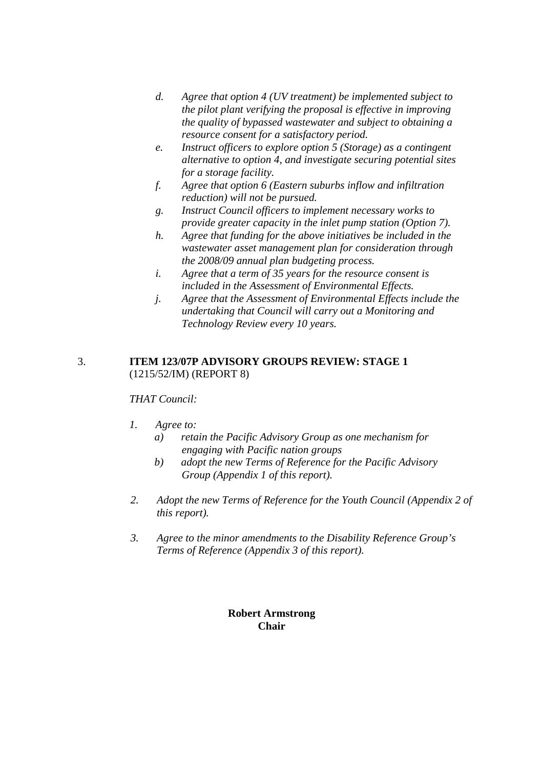- *d. Agree that option 4 (UV treatment) be implemented subject to the pilot plant verifying the proposal is effective in improving the quality of bypassed wastewater and subject to obtaining a resource consent for a satisfactory period.*
- *e. Instruct officers to explore option 5 (Storage) as a contingent alternative to option 4, and investigate securing potential sites for a storage facility.*
- *f. Agree that option 6 (Eastern suburbs inflow and infiltration reduction) will not be pursued.*
- *g. Instruct Council officers to implement necessary works to provide greater capacity in the inlet pump station (Option 7).*
- *h. Agree that funding for the above initiatives be included in the wastewater asset management plan for consideration through the 2008/09 annual plan budgeting process.*
- *i. Agree that a term of 35 years for the resource consent is included in the Assessment of Environmental Effects.*
- *j. Agree that the Assessment of Environmental Effects include the undertaking that Council will carry out a Monitoring and Technology Review every 10 years.*

#### 3. **ITEM 123/07P ADVISORY GROUPS REVIEW: STAGE 1** (1215/52/IM) (REPORT 8)

## *THAT Council:*

- *1. Agree to:* 
	- *a) retain the Pacific Advisory Group as one mechanism for engaging with Pacific nation groups*
	- *b) adopt the new Terms of Reference for the Pacific Advisory Group (Appendix 1 of this report).*
- *2. Adopt the new Terms of Reference for the Youth Council (Appendix 2 of this report).*
- *3. Agree to the minor amendments to the Disability Reference Group's Terms of Reference (Appendix 3 of this report).*

### **Robert Armstrong Chair**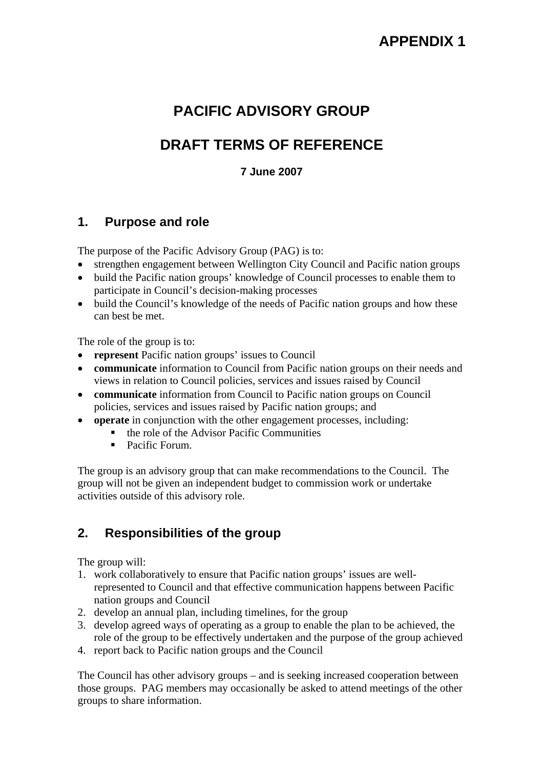# **PACIFIC ADVISORY GROUP**

# **DRAFT TERMS OF REFERENCE**

## **7 June 2007**

## **1. Purpose and role**

The purpose of the Pacific Advisory Group (PAG) is to:

- strengthen engagement between Wellington City Council and Pacific nation groups
- build the Pacific nation groups' knowledge of Council processes to enable them to participate in Council's decision-making processes
- build the Council's knowledge of the needs of Pacific nation groups and how these can best be met.

The role of the group is to:

- **represent** Pacific nation groups' issues to Council
- **communicate** information to Council from Pacific nation groups on their needs and views in relation to Council policies, services and issues raised by Council
- **communicate** information from Council to Pacific nation groups on Council policies, services and issues raised by Pacific nation groups; and
- **operate** in conjunction with the other engagement processes, including:
	- $\blacksquare$  the role of the Advisor Pacific Communities
	- Pacific Forum.

The group is an advisory group that can make recommendations to the Council. The group will not be given an independent budget to commission work or undertake activities outside of this advisory role.

# **2. Responsibilities of the group**

The group will:

- 1. work collaboratively to ensure that Pacific nation groups' issues are wellrepresented to Council and that effective communication happens between Pacific nation groups and Council
- 2. develop an annual plan, including timelines, for the group
- 3. develop agreed ways of operating as a group to enable the plan to be achieved, the role of the group to be effectively undertaken and the purpose of the group achieved
- 4. report back to Pacific nation groups and the Council

The Council has other advisory groups – and is seeking increased cooperation between those groups. PAG members may occasionally be asked to attend meetings of the other groups to share information.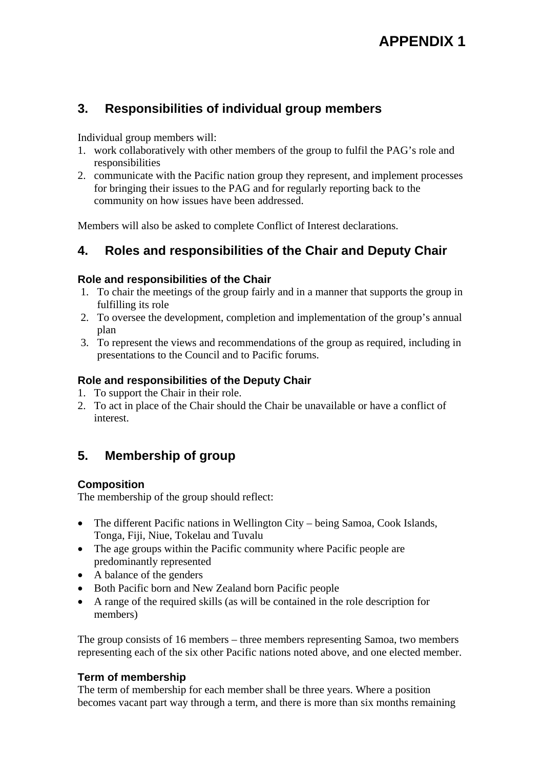# **3. Responsibilities of individual group members**

Individual group members will:

- 1. work collaboratively with other members of the group to fulfil the PAG's role and responsibilities
- 2. communicate with the Pacific nation group they represent, and implement processes for bringing their issues to the PAG and for regularly reporting back to the community on how issues have been addressed.

Members will also be asked to complete Conflict of Interest declarations.

# **4. Roles and responsibilities of the Chair and Deputy Chair**

### **Role and responsibilities of the Chair**

- 1. To chair the meetings of the group fairly and in a manner that supports the group in fulfilling its role
- 2. To oversee the development, completion and implementation of the group's annual plan
- 3. To represent the views and recommendations of the group as required, including in presentations to the Council and to Pacific forums.

## **Role and responsibilities of the Deputy Chair**

- 1. To support the Chair in their role.
- 2. To act in place of the Chair should the Chair be unavailable or have a conflict of interest.

# **5. Membership of group**

## **Composition**

The membership of the group should reflect:

- The different Pacific nations in Wellington City being Samoa, Cook Islands, Tonga, Fiji, Niue, Tokelau and Tuvalu
- The age groups within the Pacific community where Pacific people are predominantly represented
- A balance of the genders
- Both Pacific born and New Zealand born Pacific people
- A range of the required skills (as will be contained in the role description for members)

The group consists of 16 members – three members representing Samoa, two members representing each of the six other Pacific nations noted above, and one elected member.

## **Term of membership**

The term of membership for each member shall be three years. Where a position becomes vacant part way through a term, and there is more than six months remaining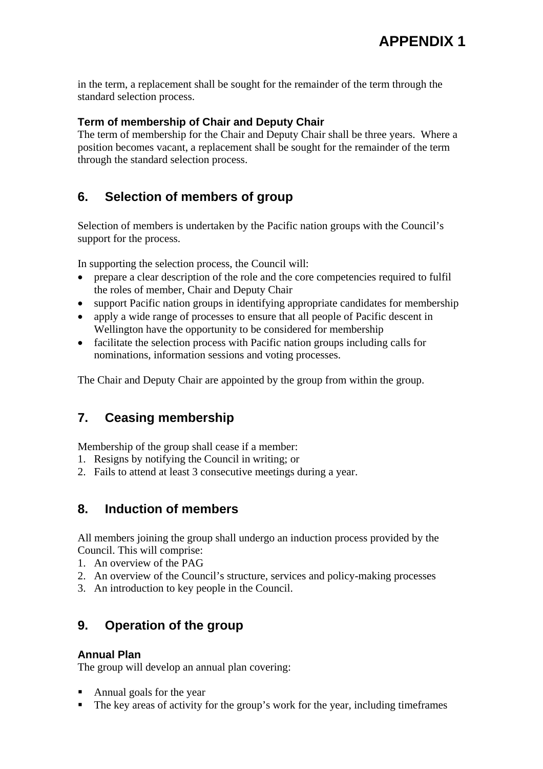in the term, a replacement shall be sought for the remainder of the term through the standard selection process.

### **Term of membership of Chair and Deputy Chair**

The term of membership for the Chair and Deputy Chair shall be three years. Where a position becomes vacant, a replacement shall be sought for the remainder of the term through the standard selection process.

# **6. Selection of members of group**

Selection of members is undertaken by the Pacific nation groups with the Council's support for the process.

In supporting the selection process, the Council will:

- prepare a clear description of the role and the core competencies required to fulfil the roles of member, Chair and Deputy Chair
- support Pacific nation groups in identifying appropriate candidates for membership
- apply a wide range of processes to ensure that all people of Pacific descent in Wellington have the opportunity to be considered for membership
- facilitate the selection process with Pacific nation groups including calls for nominations, information sessions and voting processes.

The Chair and Deputy Chair are appointed by the group from within the group.

# **7. Ceasing membership**

Membership of the group shall cease if a member:

- 1. Resigns by notifying the Council in writing; or
- 2. Fails to attend at least 3 consecutive meetings during a year.

## **8. Induction of members**

All members joining the group shall undergo an induction process provided by the Council. This will comprise:

- 1. An overview of the PAG
- 2. An overview of the Council's structure, services and policy-making processes
- 3. An introduction to key people in the Council.

## **9. Operation of the group**

#### **Annual Plan**

The group will develop an annual plan covering:

- Annual goals for the year
- The key areas of activity for the group's work for the year, including timeframes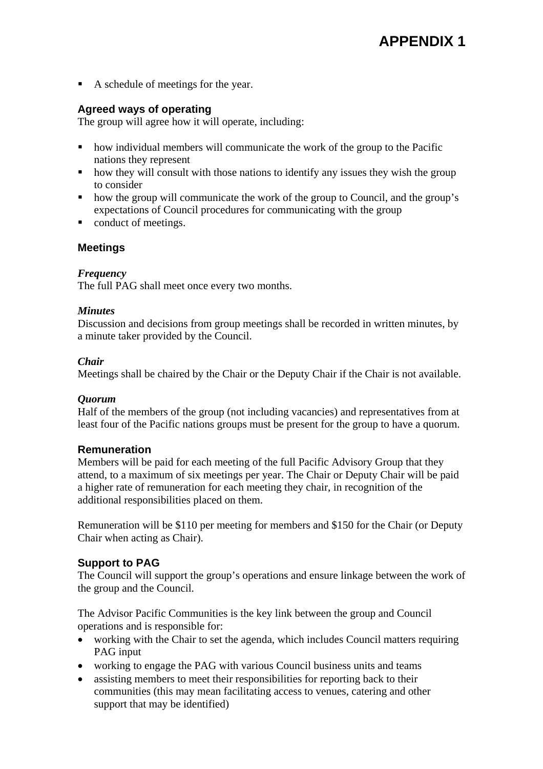A schedule of meetings for the year.

## **Agreed ways of operating**

The group will agree how it will operate, including:

- how individual members will communicate the work of the group to the Pacific nations they represent
- how they will consult with those nations to identify any issues they wish the group to consider
- how the group will communicate the work of the group to Council, and the group's expectations of Council procedures for communicating with the group
- conduct of meetings.

## **Meetings**

#### *Frequency*

The full PAG shall meet once every two months.

#### *Minutes*

Discussion and decisions from group meetings shall be recorded in written minutes, by a minute taker provided by the Council.

#### *Chair*

Meetings shall be chaired by the Chair or the Deputy Chair if the Chair is not available.

#### *Quorum*

Half of the members of the group (not including vacancies) and representatives from at least four of the Pacific nations groups must be present for the group to have a quorum.

#### **Remuneration**

Members will be paid for each meeting of the full Pacific Advisory Group that they attend, to a maximum of six meetings per year. The Chair or Deputy Chair will be paid a higher rate of remuneration for each meeting they chair, in recognition of the additional responsibilities placed on them.

Remuneration will be \$110 per meeting for members and \$150 for the Chair (or Deputy Chair when acting as Chair).

#### **Support to PAG**

The Council will support the group's operations and ensure linkage between the work of the group and the Council.

The Advisor Pacific Communities is the key link between the group and Council operations and is responsible for:

- working with the Chair to set the agenda, which includes Council matters requiring PAG input
- working to engage the PAG with various Council business units and teams
- assisting members to meet their responsibilities for reporting back to their communities (this may mean facilitating access to venues, catering and other support that may be identified)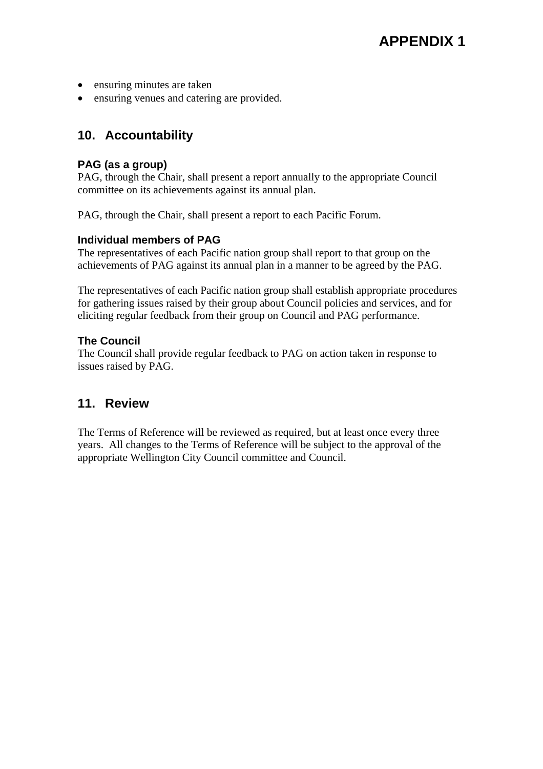- ensuring minutes are taken
- ensuring venues and catering are provided.

## **10. Accountability**

#### **PAG (as a group)**

PAG, through the Chair, shall present a report annually to the appropriate Council committee on its achievements against its annual plan.

PAG, through the Chair, shall present a report to each Pacific Forum.

#### **Individual members of PAG**

The representatives of each Pacific nation group shall report to that group on the achievements of PAG against its annual plan in a manner to be agreed by the PAG.

The representatives of each Pacific nation group shall establish appropriate procedures for gathering issues raised by their group about Council policies and services, and for eliciting regular feedback from their group on Council and PAG performance.

#### **The Council**

The Council shall provide regular feedback to PAG on action taken in response to issues raised by PAG.

# **11. Review**

The Terms of Reference will be reviewed as required, but at least once every three years. All changes to the Terms of Reference will be subject to the approval of the appropriate Wellington City Council committee and Council.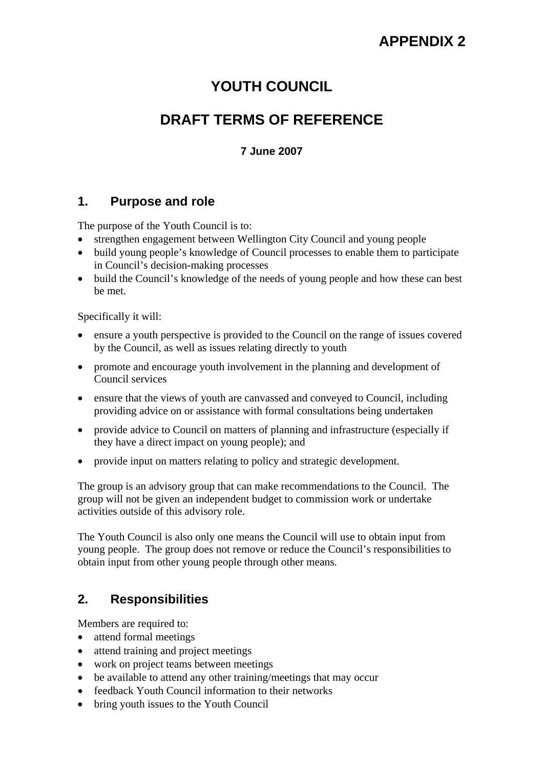# **YOUTH COUNCIL**

# **DRAFT TERMS OF REFERENCE**

## **7 June 2007**

## **1. Purpose and role**

The purpose of the Youth Council is to:

- strengthen engagement between Wellington City Council and young people
- build young people's knowledge of Council processes to enable them to participate in Council's decision-making processes
- build the Council's knowledge of the needs of young people and how these can best be met.

Specifically it will:

- ensure a youth perspective is provided to the Council on the range of issues covered by the Council, as well as issues relating directly to youth
- promote and encourage youth involvement in the planning and development of Council services
- ensure that the views of youth are canvassed and conveyed to Council, including providing advice on or assistance with formal consultations being undertaken
- provide advice to Council on matters of planning and infrastructure (especially if they have a direct impact on young people); and
- provide input on matters relating to policy and strategic development.

The group is an advisory group that can make recommendations to the Council. The group will not be given an independent budget to commission work or undertake activities outside of this advisory role.

The Youth Council is also only one means the Council will use to obtain input from young people. The group does not remove or reduce the Council's responsibilities to obtain input from other young people through other means.

# **2. Responsibilities**

Members are required to:

- attend formal meetings
- attend training and project meetings
- work on project teams between meetings
- be available to attend any other training/meetings that may occur
- feedback Youth Council information to their networks
- bring youth issues to the Youth Council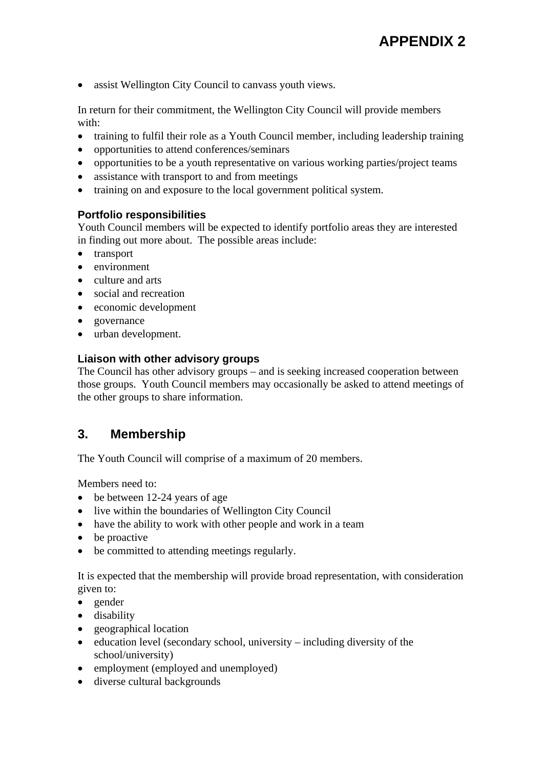• assist Wellington City Council to canvass youth views.

In return for their commitment, the Wellington City Council will provide members with:

- training to fulfil their role as a Youth Council member, including leadership training
- opportunities to attend conferences/seminars
- opportunities to be a youth representative on various working parties/project teams
- assistance with transport to and from meetings
- training on and exposure to the local government political system.

#### **Portfolio responsibilities**

Youth Council members will be expected to identify portfolio areas they are interested in finding out more about. The possible areas include:

- transport
- environment
- culture and arts
- social and recreation
- economic development
- governance
- urban development.

#### **Liaison with other advisory groups**

The Council has other advisory groups – and is seeking increased cooperation between those groups. Youth Council members may occasionally be asked to attend meetings of the other groups to share information.

## **3. Membership**

The Youth Council will comprise of a maximum of 20 members.

Members need to:

- be between 12-24 years of age
- live within the boundaries of Wellington City Council
- have the ability to work with other people and work in a team
- be proactive
- be committed to attending meetings regularly.

It is expected that the membership will provide broad representation, with consideration given to:

- gender
- disability
- geographical location
- education level (secondary school, university including diversity of the school/university)
- employment (employed and unemployed)
- diverse cultural backgrounds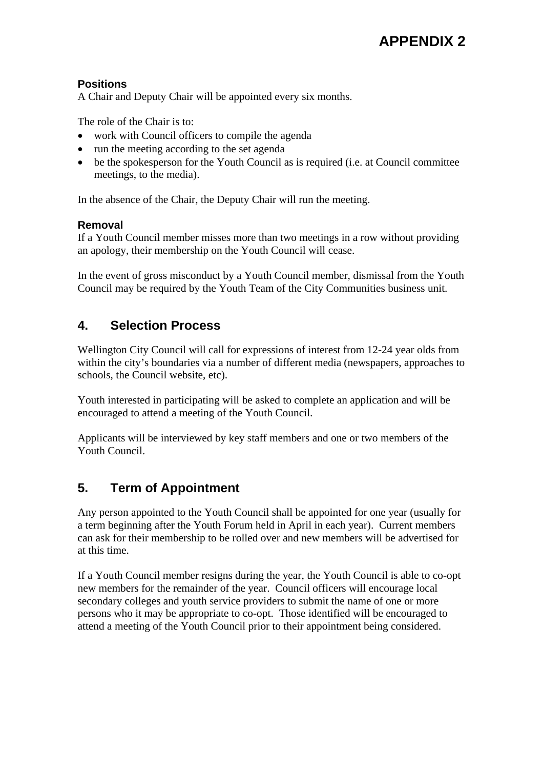## **Positions**

A Chair and Deputy Chair will be appointed every six months.

The role of the Chair is to:

- work with Council officers to compile the agenda
- run the meeting according to the set agenda
- be the spokesperson for the Youth Council as is required (i.e. at Council committee meetings, to the media).

In the absence of the Chair, the Deputy Chair will run the meeting.

## **Removal**

If a Youth Council member misses more than two meetings in a row without providing an apology, their membership on the Youth Council will cease.

In the event of gross misconduct by a Youth Council member, dismissal from the Youth Council may be required by the Youth Team of the City Communities business unit.

# **4. Selection Process**

Wellington City Council will call for expressions of interest from 12-24 year olds from within the city's boundaries via a number of different media (newspapers, approaches to schools, the Council website, etc).

Youth interested in participating will be asked to complete an application and will be encouraged to attend a meeting of the Youth Council.

Applicants will be interviewed by key staff members and one or two members of the Youth Council.

# **5. Term of Appointment**

Any person appointed to the Youth Council shall be appointed for one year (usually for a term beginning after the Youth Forum held in April in each year). Current members can ask for their membership to be rolled over and new members will be advertised for at this time.

If a Youth Council member resigns during the year, the Youth Council is able to co-opt new members for the remainder of the year. Council officers will encourage local secondary colleges and youth service providers to submit the name of one or more persons who it may be appropriate to co-opt. Those identified will be encouraged to attend a meeting of the Youth Council prior to their appointment being considered.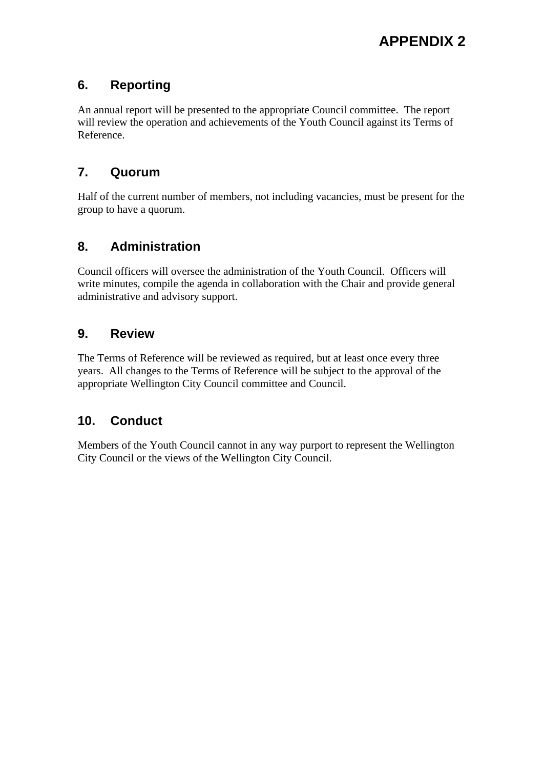# **6. Reporting**

An annual report will be presented to the appropriate Council committee. The report will review the operation and achievements of the Youth Council against its Terms of Reference.

# **7. Quorum**

Half of the current number of members, not including vacancies, must be present for the group to have a quorum.

# **8. Administration**

Council officers will oversee the administration of the Youth Council. Officers will write minutes, compile the agenda in collaboration with the Chair and provide general administrative and advisory support.

# **9. Review**

The Terms of Reference will be reviewed as required, but at least once every three years. All changes to the Terms of Reference will be subject to the approval of the appropriate Wellington City Council committee and Council.

# **10. Conduct**

Members of the Youth Council cannot in any way purport to represent the Wellington City Council or the views of the Wellington City Council.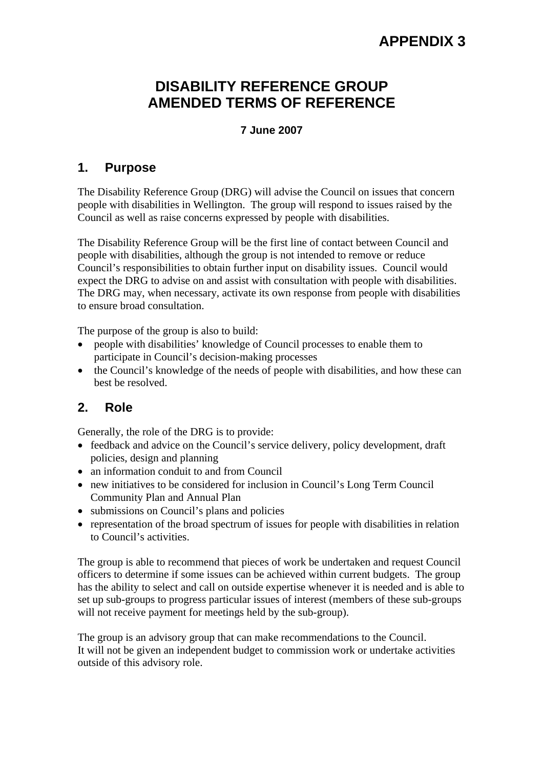# **DISABILITY REFERENCE GROUP AMENDED TERMS OF REFERENCE**

### **7 June 2007**

## **1. Purpose**

The Disability Reference Group (DRG) will advise the Council on issues that concern people with disabilities in Wellington. The group will respond to issues raised by the Council as well as raise concerns expressed by people with disabilities.

The Disability Reference Group will be the first line of contact between Council and people with disabilities, although the group is not intended to remove or reduce Council's responsibilities to obtain further input on disability issues. Council would expect the DRG to advise on and assist with consultation with people with disabilities. The DRG may, when necessary, activate its own response from people with disabilities to ensure broad consultation.

The purpose of the group is also to build:

- people with disabilities' knowledge of Council processes to enable them to participate in Council's decision-making processes
- the Council's knowledge of the needs of people with disabilities, and how these can best be resolved.

# **2. Role**

Generally, the role of the DRG is to provide:

- feedback and advice on the Council's service delivery, policy development, draft policies, design and planning
- an information conduit to and from Council
- new initiatives to be considered for inclusion in Council's Long Term Council Community Plan and Annual Plan
- submissions on Council's plans and policies
- representation of the broad spectrum of issues for people with disabilities in relation to Council's activities.

The group is able to recommend that pieces of work be undertaken and request Council officers to determine if some issues can be achieved within current budgets. The group has the ability to select and call on outside expertise whenever it is needed and is able to set up sub-groups to progress particular issues of interest (members of these sub-groups will not receive payment for meetings held by the sub-group).

The group is an advisory group that can make recommendations to the Council. It will not be given an independent budget to commission work or undertake activities outside of this advisory role.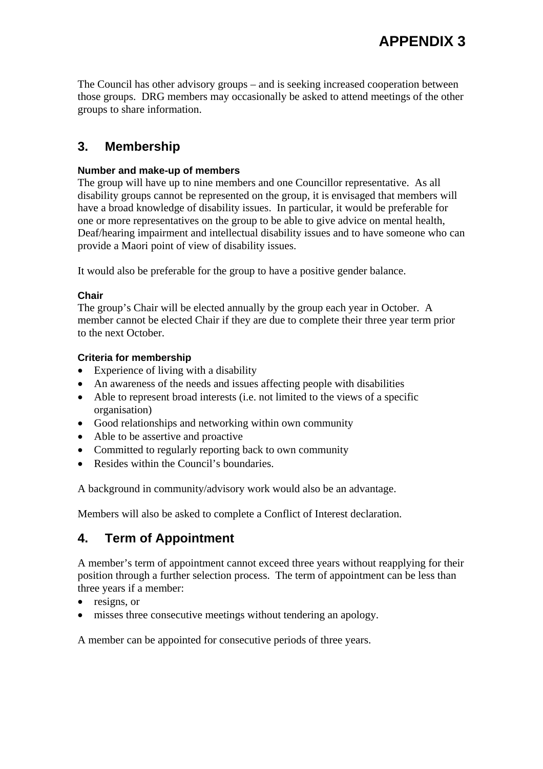The Council has other advisory groups – and is seeking increased cooperation between those groups. DRG members may occasionally be asked to attend meetings of the other groups to share information.

# **3. Membership**

#### **Number and make-up of members**

The group will have up to nine members and one Councillor representative. As all disability groups cannot be represented on the group, it is envisaged that members will have a broad knowledge of disability issues. In particular, it would be preferable for one or more representatives on the group to be able to give advice on mental health, Deaf/hearing impairment and intellectual disability issues and to have someone who can provide a Maori point of view of disability issues.

It would also be preferable for the group to have a positive gender balance.

#### **Chair**

The group's Chair will be elected annually by the group each year in October. A member cannot be elected Chair if they are due to complete their three year term prior to the next October.

#### **Criteria for membership**

- Experience of living with a disability
- An awareness of the needs and issues affecting people with disabilities
- Able to represent broad interests (i.e. not limited to the views of a specific organisation)
- Good relationships and networking within own community
- Able to be assertive and proactive
- Committed to regularly reporting back to own community
- Resides within the Council's boundaries.

A background in community/advisory work would also be an advantage.

Members will also be asked to complete a Conflict of Interest declaration.

## **4. Term of Appointment**

A member's term of appointment cannot exceed three years without reapplying for their position through a further selection process. The term of appointment can be less than three years if a member:

- resigns, or
- misses three consecutive meetings without tendering an apology.

A member can be appointed for consecutive periods of three years.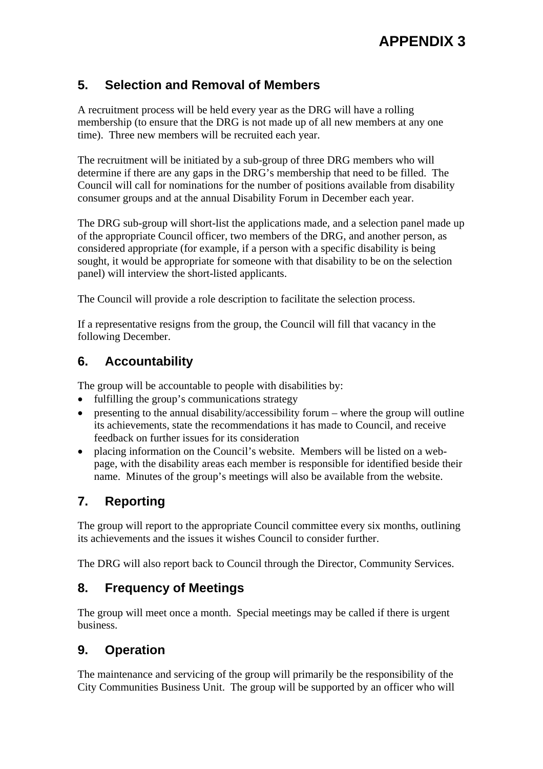# **5. Selection and Removal of Members**

A recruitment process will be held every year as the DRG will have a rolling membership (to ensure that the DRG is not made up of all new members at any one time). Three new members will be recruited each year.

The recruitment will be initiated by a sub-group of three DRG members who will determine if there are any gaps in the DRG's membership that need to be filled. The Council will call for nominations for the number of positions available from disability consumer groups and at the annual Disability Forum in December each year.

The DRG sub-group will short-list the applications made, and a selection panel made up of the appropriate Council officer, two members of the DRG, and another person, as considered appropriate (for example, if a person with a specific disability is being sought, it would be appropriate for someone with that disability to be on the selection panel) will interview the short-listed applicants.

The Council will provide a role description to facilitate the selection process.

If a representative resigns from the group, the Council will fill that vacancy in the following December.

## **6. Accountability**

The group will be accountable to people with disabilities by:

- fulfilling the group's communications strategy
- presenting to the annual disability/accessibility forum where the group will outline its achievements, state the recommendations it has made to Council, and receive feedback on further issues for its consideration
- placing information on the Council's website. Members will be listed on a webpage, with the disability areas each member is responsible for identified beside their name. Minutes of the group's meetings will also be available from the website.

# **7. Reporting**

The group will report to the appropriate Council committee every six months, outlining its achievements and the issues it wishes Council to consider further.

The DRG will also report back to Council through the Director, Community Services.

# **8. Frequency of Meetings**

The group will meet once a month. Special meetings may be called if there is urgent business.

## **9. Operation**

The maintenance and servicing of the group will primarily be the responsibility of the City Communities Business Unit. The group will be supported by an officer who will